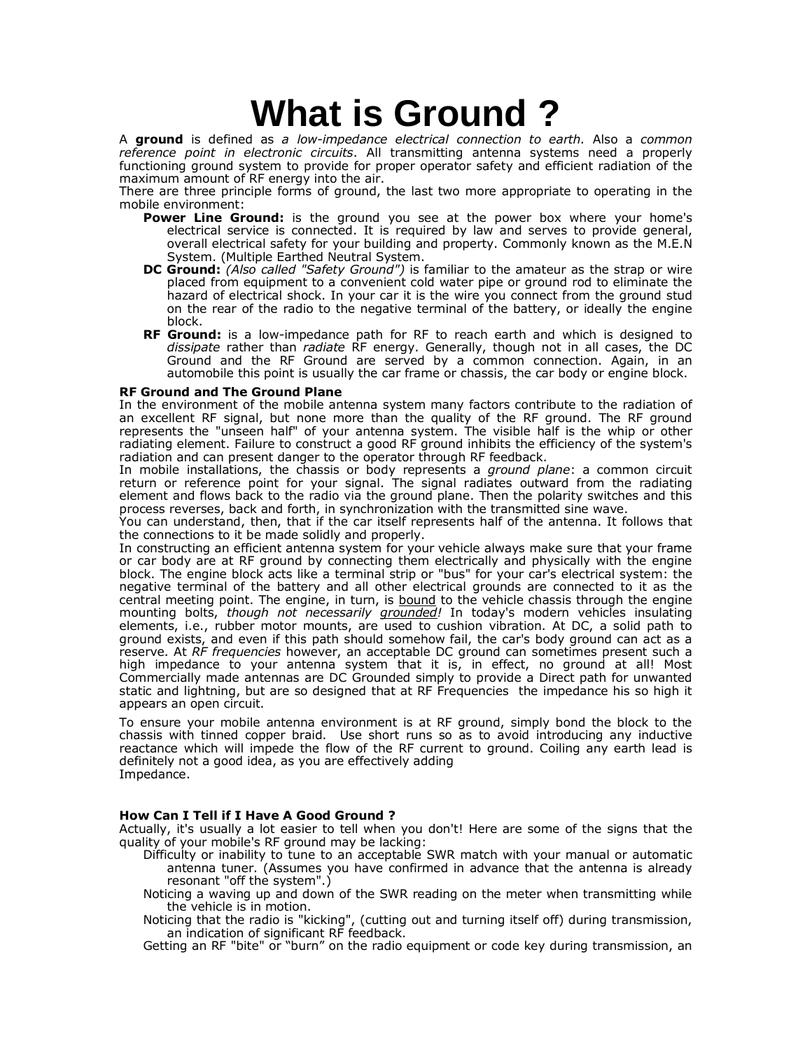# **What is Ground ?**

A ground is defined as a low-impedance electrical connection to earth. Also a common reference point in electronic circuits. All transmitting antenna systems need a properly functioning ground system to provide for proper operator safety and efficient radiation of the maximum amount of RF energy into the air.

There are three principle forms of ground, the last two more appropriate to operating in the mobile environment:

- Power Line Ground: is the ground you see at the power box where your home's electrical service is connected. It is required by law and serves to provide general, overall electrical safety for your building and property. Commonly known as the M.E.N System. (Multiple Earthed Neutral System.
- DC Ground: (Also called "Safety Ground") is familiar to the amateur as the strap or wire placed from equipment to a convenient cold water pipe or ground rod to eliminate the hazard of electrical shock. In your car it is the wire you connect from the ground stud on the rear of the radio to the negative terminal of the battery, or ideally the engine block.
- RF Ground: is a low-impedance path for RF to reach earth and which is designed to dissipate rather than *radiate* RF energy. Generally, though not in all cases, the DC Ground and the RF Ground are served by a common connection. Again, in an automobile this point is usually the car frame or chassis, the car body or engine block.

## RF Ground and The Ground Plane

In the environment of the mobile antenna system many factors contribute to the radiation of an excellent RF signal, but none more than the quality of the RF ground. The RF ground represents the "unseen half" of your antenna system. The visible half is the whip or other radiating element. Failure to construct a good RF ground inhibits the efficiency of the system's radiation and can present danger to the operator through RF feedback.

In mobile installations, the chassis or body represents a *ground plane*: a common circuit return or reference point for your signal. The signal radiates outward from the radiating element and flows back to the radio via the ground plane. Then the polarity switches and this process reverses, back and forth, in synchronization with the transmitted sine wave.

You can understand, then, that if the car itself represents half of the antenna. It follows that the connections to it be made solidly and properly.

In constructing an efficient antenna system for your vehicle always make sure that your frame or car body are at RF ground by connecting them electrically and physically with the engine block. The engine block acts like a terminal strip or "bus" for your car's electrical system: the negative terminal of the battery and all other electrical grounds are connected to it as the central meeting point. The engine, in turn, is bound to the vehicle chassis through the engine mounting bolts, though not necessarily grounded! In today's modern vehicles insulating elements, i.e., rubber motor mounts, are used to cushion vibration. At DC, a solid path to ground exists, and even if this path should somehow fail, the car's body ground can act as a reserve. At RF frequencies however, an acceptable DC ground can sometimes present such a high impedance to your antenna system that it is, in effect, no ground at all! Most Commercially made antennas are DC Grounded simply to provide a Direct path for unwanted static and lightning, but are so designed that at RF Frequencies the impedance his so high it appears an open circuit.

To ensure your mobile antenna environment is at RF ground, simply bond the block to the chassis with tinned copper braid. Use short runs so as to avoid introducing any inductive reactance which will impede the flow of the RF current to ground. Coiling any earth lead is definitely not a good idea, as you are effectively adding Impedance.

# How Can I Tell if I Have A Good Ground ?

Actually, it's usually a lot easier to tell when you don't! Here are some of the signs that the quality of your mobile's RF ground may be lacking:

- Difficulty or inability to tune to an acceptable SWR match with your manual or automatic antenna tuner. (Assumes you have confirmed in advance that the antenna is already resonant "off the system".)
- Noticing a waving up and down of the SWR reading on the meter when transmitting while the vehicle is in motion.
- Noticing that the radio is "kicking", (cutting out and turning itself off) during transmission, an indication of significant RF feedback.

Getting an RF "bite" or "burn" on the radio equipment or code key during transmission, an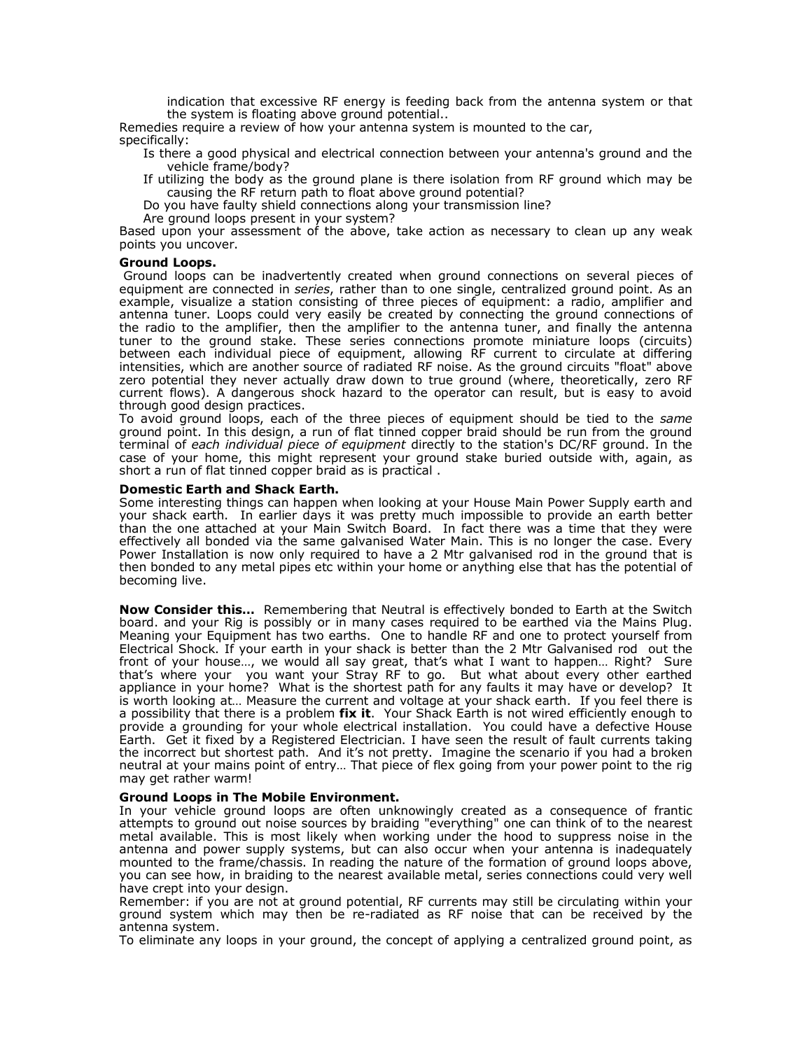indication that excessive RF energy is feeding back from the antenna system or that the system is floating above ground potential..

Remedies require a review of how your antenna system is mounted to the car, specifically:

Is there a good physical and electrical connection between your antenna's ground and the vehicle frame/body?

If utilizing the body as the ground plane is there isolation from RF ground which may be causing the RF return path to float above ground potential?

Do you have faulty shield connections along your transmission line?

Are ground loops present in your system?

Based upon your assessment of the above, take action as necessary to clean up any weak points you uncover.

## Ground Loops.

Ground loops can be inadvertently created when ground connections on several pieces of equipment are connected in series, rather than to one single, centralized ground point. As an example, visualize a station consisting of three pieces of equipment: a radio, amplifier and antenna tuner. Loops could very easily be created by connecting the ground connections of the radio to the amplifier, then the amplifier to the antenna tuner, and finally the antenna tuner to the ground stake. These series connections promote miniature loops (circuits) between each individual piece of equipment, allowing RF current to circulate at differing intensities, which are another source of radiated RF noise. As the ground circuits "float" above zero potential they never actually draw down to true ground (where, theoretically, zero RF current flows). A dangerous shock hazard to the operator can result, but is easy to avoid through good design practices.

To avoid ground loops, each of the three pieces of equipment should be tied to the same ground point. In this design, a run of flat tinned copper braid should be run from the ground terminal of each individual piece of equipment directly to the station's DC/RF ground. In the case of your home, this might represent your ground stake buried outside with, again, as short a run of flat tinned copper braid as is practical .

## Domestic Earth and Shack Earth.

Some interesting things can happen when looking at your House Main Power Supply earth and your shack earth. In earlier days it was pretty much impossible to provide an earth better than the one attached at your Main Switch Board. In fact there was a time that they were effectively all bonded via the same galvanised Water Main. This is no longer the case. Every Power Installation is now only required to have a 2 Mtr galvanised rod in the ground that is then bonded to any metal pipes etc within your home or anything else that has the potential of becoming live.

**Now Consider this...** Remembering that Neutral is effectively bonded to Earth at the Switch board. and your Rig is possibly or in many cases required to be earthed via the Mains Plug. Meaning your Equipment has two earths. One to handle RF and one to protect yourself from Electrical Shock. If your earth in your shack is better than the 2 Mtr Galvanised rod out the front of your house…, we would all say great, that's what I want to happen… Right? Sure that's where your you want your Stray RF to go. But what about every other earthed appliance in your home? What is the shortest path for any faults it may have or develop? It is worth looking at… Measure the current and voltage at your shack earth. If you feel there is a possibility that there is a problem fix it. Your Shack Earth is not wired efficiently enough to provide a grounding for your whole electrical installation. You could have a defective House Earth. Get it fixed by a Registered Electrician. I have seen the result of fault currents taking the incorrect but shortest path. And it's not pretty. Imagine the scenario if you had a broken neutral at your mains point of entry… That piece of flex going from your power point to the rig may get rather warm!

# Ground Loops in The Mobile Environment.

In your vehicle ground loops are often unknowingly created as a consequence of frantic attempts to ground out noise sources by braiding "everything" one can think of to the nearest metal available. This is most likely when working under the hood to suppress noise in the antenna and power supply systems, but can also occur when your antenna is inadequately mounted to the frame/chassis. In reading the nature of the formation of ground loops above, you can see how, in braiding to the nearest available metal, series connections could very well have crept into your design.

Remember: if you are not at ground potential, RF currents may still be circulating within your ground system which may then be re-radiated as RF noise that can be received by the antenna system.

To eliminate any loops in your ground, the concept of applying a centralized ground point, as